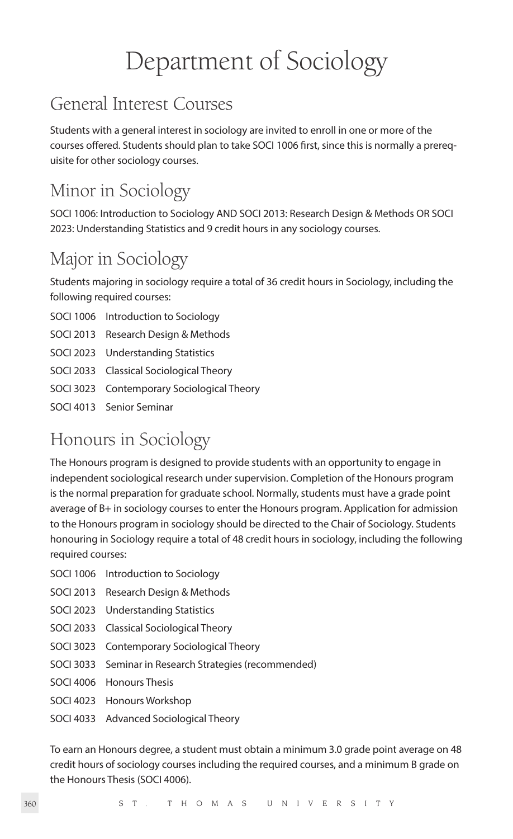# Department of Sociology

# General Interest Courses

Students with a general interest in sociology are invited to enroll in one or more of the courses offered. Students should plan to take SOCI 1006 first, since this is normally a prerequisite for other sociology courses.

# Minor in Sociology

SOCI 1006: Introduction to Sociology AND SOCI 2013: Research Design & Methods OR SOCI 2023: Understanding Statistics and 9 credit hours in any sociology courses.

# Major in Sociology

Students majoring in sociology require a total of 36 credit hours in Sociology, including the following required courses:

- SOCI 1006 Introduction to Sociology
- SOCI 2013 Research Design & Methods
- SOCI 2023 Understanding Statistics
- SOCI 2033 Classical Sociological Theory
- SOCI 3023 Contemporary Sociological Theory
- SOCI 4013 Senior Seminar

# Honours in Sociology

The Honours program is designed to provide students with an opportunity to engage in independent sociological research under supervision. Completion of the Honours program is the normal preparation for graduate school. Normally, students must have a grade point average of B+ in sociology courses to enter the Honours program. Application for admission to the Honours program in sociology should be directed to the Chair of Sociology. Students honouring in Sociology require a total of 48 credit hours in sociology, including the following required courses:

- SOCI 1006 Introduction to Sociology
- SOCI 2013 Research Design & Methods
- SOCI 2023 Understanding Statistics
- SOCI 2033 Classical Sociological Theory
- SOCI 3023 Contemporary Sociological Theory
- SOCI 3033 Seminar in Research Strategies (recommended)
- SOCI 4006 Honours Thesis
- SOCI 4023 Honours Workshop
- SOCI 4033 Advanced Sociological Theory

To earn an Honours degree, a student must obtain a minimum 3.0 grade point average on 48 credit hours of sociology courses including the required courses, and a minimum B grade on the Honours Thesis (SOCI 4006).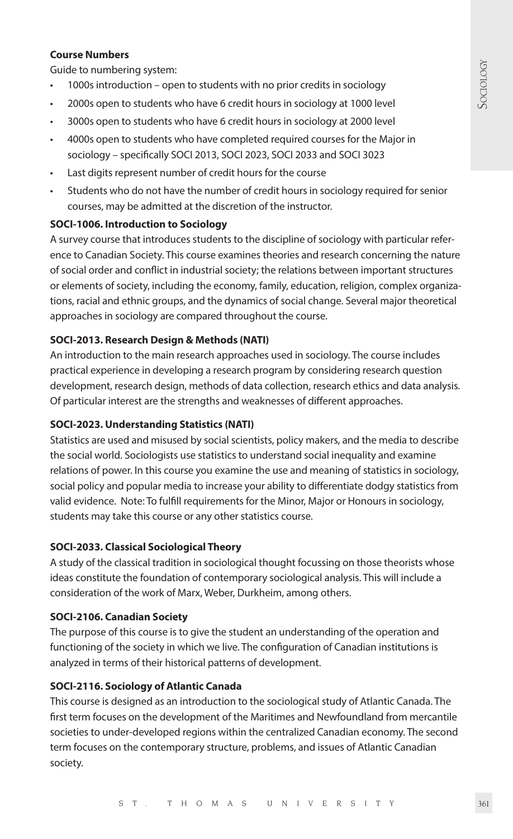#### **Course Numbers**

Guide to numbering system:

- 1000s introduction open to students with no prior credits in sociology
- 2000s open to students who have 6 credit hours in sociology at 1000 level
- 3000s open to students who have 6 credit hours in sociology at 2000 level
- 4000s open to students who have completed required courses for the Major in sociology – specifically SOCI 2013, SOCI 2023, SOCI 2033 and SOCI 3023
- Last digits represent number of credit hours for the course
- Students who do not have the number of credit hours in sociology required for senior courses, may be admitted at the discretion of the instructor.

#### **SOCI-1006. Introduction to Sociology**

A survey course that introduces students to the discipline of sociology with particular reference to Canadian Society. This course examines theories and research concerning the nature of social order and conflict in industrial society; the relations between important structures or elements of society, including the economy, family, education, religion, complex organizations, racial and ethnic groups, and the dynamics of social change. Several major theoretical approaches in sociology are compared throughout the course.

# **SOCI-2013. Research Design & Methods (NATI)**

An introduction to the main research approaches used in sociology. The course includes practical experience in developing a research program by considering research question development, research design, methods of data collection, research ethics and data analysis. Of particular interest are the strengths and weaknesses of different approaches.

#### **SOCI-2023. Understanding Statistics (NATI)**

Statistics are used and misused by social scientists, policy makers, and the media to describe the social world. Sociologists use statistics to understand social inequality and examine relations of power. In this course you examine the use and meaning of statistics in sociology, social policy and popular media to increase your ability to differentiate dodgy statistics from valid evidence. Note: To fulfill requirements for the Minor, Major or Honours in sociology, students may take this course or any other statistics course.

#### **SOCI-2033. Classical Sociological Theory**

A study of the classical tradition in sociological thought focussing on those theorists whose ideas constitute the foundation of contemporary sociological analysis. This will include a consideration of the work of Marx, Weber, Durkheim, among others.

#### **SOCI-2106. Canadian Society**

The purpose of this course is to give the student an understanding of the operation and functioning of the society in which we live. The configuration of Canadian institutions is analyzed in terms of their historical patterns of development.

# **SOCI-2116. Sociology of Atlantic Canada**

This course is designed as an introduction to the sociological study of Atlantic Canada. The first term focuses on the development of the Maritimes and Newfoundland from mercantile societies to under-developed regions within the centralized Canadian economy. The second term focuses on the contemporary structure, problems, and issues of Atlantic Canadian society.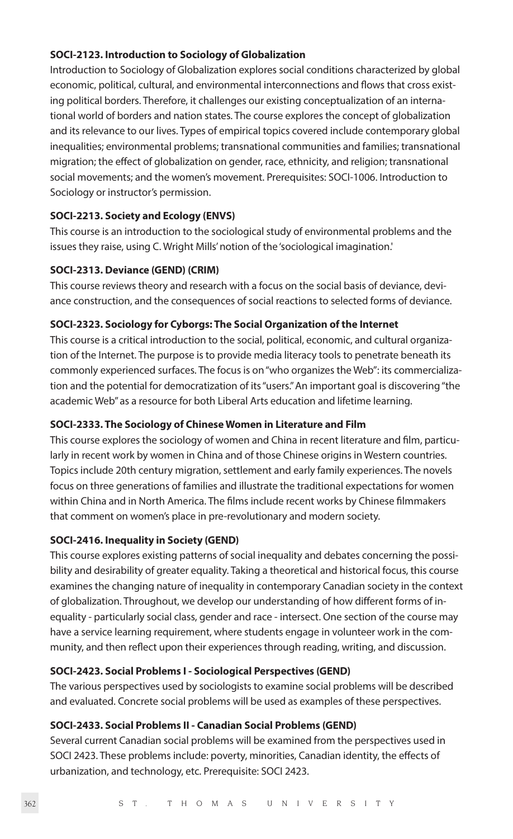#### **SOCI-2123. Introduction to Sociology of Globalization**

Introduction to Sociology of Globalization explores social conditions characterized by global economic, political, cultural, and environmental interconnections and flows that cross existing political borders. Therefore, it challenges our existing conceptualization of an international world of borders and nation states. The course explores the concept of globalization and its relevance to our lives. Types of empirical topics covered include contemporary global inequalities; environmental problems; transnational communities and families; transnational migration; the effect of globalization on gender, race, ethnicity, and religion; transnational social movements; and the women's movement. Prerequisites: SOCI-1006. Introduction to Sociology or instructor's permission.

# **SOCI-2213. Society and Ecology (ENVS)**

This course is an introduction to the sociological study of environmental problems and the issues they raise, using C. Wright Mills' notion of the 'sociological imagination.'

# **SOCI-2313. Deviance (GEND) (CRIM)**

This course reviews theory and research with a focus on the social basis of deviance, deviance construction, and the consequences of social reactions to selected forms of deviance.

# **SOCI-2323. Sociology for Cyborgs: The Social Organization of the Internet**

This course is a critical introduction to the social, political, economic, and cultural organization of the Internet. The purpose is to provide media literacy tools to penetrate beneath its commonly experienced surfaces. The focus is on "who organizes the Web": its commercialization and the potential for democratization of its "users." An important goal is discovering "the academic Web" as a resource for both Liberal Arts education and lifetime learning.

# **SOCI-2333. The Sociology of Chinese Women in Literature and Film**

This course explores the sociology of women and China in recent literature and film, particularly in recent work by women in China and of those Chinese origins in Western countries. Topics include 20th century migration, settlement and early family experiences. The novels focus on three generations of families and illustrate the traditional expectations for women within China and in North America. The films include recent works by Chinese filmmakers that comment on women's place in pre-revolutionary and modern society.

# **SOCI-2416. Inequality in Society (GEND)**

This course explores existing patterns of social inequality and debates concerning the possibility and desirability of greater equality. Taking a theoretical and historical focus, this course examines the changing nature of inequality in contemporary Canadian society in the context of globalization. Throughout, we develop our understanding of how different forms of inequality - particularly social class, gender and race - intersect. One section of the course may have a service learning requirement, where students engage in volunteer work in the community, and then reflect upon their experiences through reading, writing, and discussion.

# **SOCI-2423. Social Problems I - Sociological Perspectives (GEND)**

The various perspectives used by sociologists to examine social problems will be described and evaluated. Concrete social problems will be used as examples of these perspectives.

# **SOCI-2433. Social Problems II - Canadian Social Problems (GEND)**

Several current Canadian social problems will be examined from the perspectives used in SOCI 2423. These problems include: poverty, minorities, Canadian identity, the effects of urbanization, and technology, etc. Prerequisite: SOCI 2423.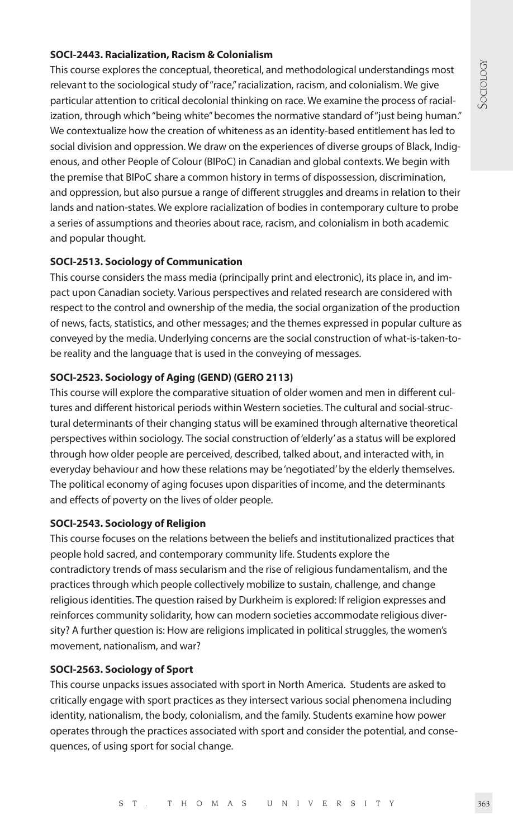# **SOCI-2443. Racialization, Racism & Colonialism**

This course explores the conceptual, theoretical, and methodological understandings most relevant to the sociological study of "race," racialization, racism, and colonialism. We give particular attention to critical decolonial thinking on race. We examine the process of racialization, through which "being white" becomes the normative standard of "just being human." We contextualize how the creation of whiteness as an identity-based entitlement has led to social division and oppression. We draw on the experiences of diverse groups of Black, Indigenous, and other People of Colour (BIPoC) in Canadian and global contexts. We begin with the premise that BIPoC share a common history in terms of dispossession, discrimination, and oppression, but also pursue a range of different struggles and dreams in relation to their lands and nation-states. We explore racialization of bodies in contemporary culture to probe a series of assumptions and theories about race, racism, and colonialism in both academic and popular thought.

# **SOCI-2513. Sociology of Communication**

This course considers the mass media (principally print and electronic), its place in, and impact upon Canadian society. Various perspectives and related research are considered with respect to the control and ownership of the media, the social organization of the production of news, facts, statistics, and other messages; and the themes expressed in popular culture as conveyed by the media. Underlying concerns are the social construction of what-is-taken-tobe reality and the language that is used in the conveying of messages.

# **SOCI-2523. Sociology of Aging (GEND) (GERO 2113)**

This course will explore the comparative situation of older women and men in different cultures and different historical periods within Western societies. The cultural and social-structural determinants of their changing status will be examined through alternative theoretical perspectives within sociology. The social construction of 'elderly' as a status will be explored through how older people are perceived, described, talked about, and interacted with, in everyday behaviour and how these relations may be 'negotiated' by the elderly themselves. The political economy of aging focuses upon disparities of income, and the determinants and effects of poverty on the lives of older people.

# **SOCI-2543. Sociology of Religion**

This course focuses on the relations between the beliefs and institutionalized practices that people hold sacred, and contemporary community life. Students explore the contradictory trends of mass secularism and the rise of religious fundamentalism, and the practices through which people collectively mobilize to sustain, challenge, and change religious identities. The question raised by Durkheim is explored: If religion expresses and reinforces community solidarity, how can modern societies accommodate religious diversity? A further question is: How are religions implicated in political struggles, the women's movement, nationalism, and war?

# **SOCI-2563. Sociology of Sport**

This course unpacks issues associated with sport in North America. Students are asked to critically engage with sport practices as they intersect various social phenomena including identity, nationalism, the body, colonialism, and the family. Students examine how power operates through the practices associated with sport and consider the potential, and consequences, of using sport for social change.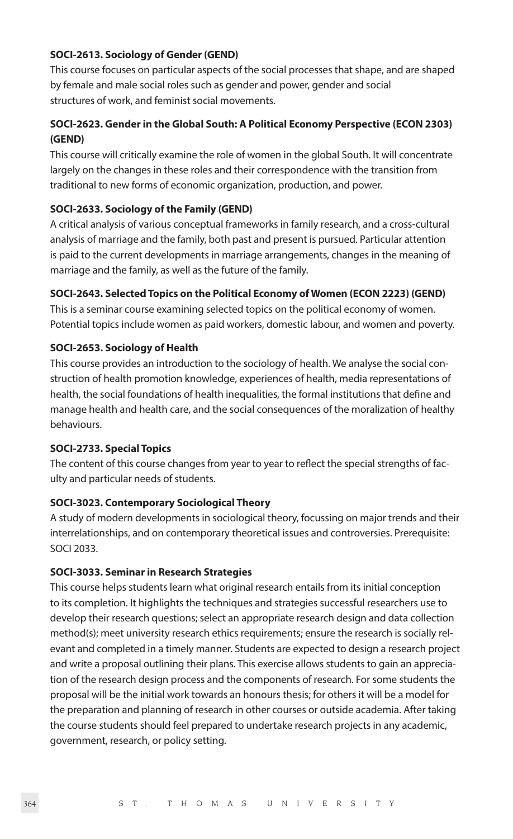# **SOCI-2613. Sociology of Gender (GEND)**

This course focuses on particular aspects of the social processes that shape, and are shaped by female and male social roles such as gender and power, gender and social structures of work, and feminist social movements.

# **SOCI-2623. Gender in the Global South: A Political Economy Perspective (ECON 2303) (GEND)**

This course will critically examine the role of women in the global South. It will concentrate largely on the changes in these roles and their correspondence with the transition from traditional to new forms of economic organization, production, and power.

# **SOCI-2633. Sociology of the Family (GEND)**

A critical analysis of various conceptual frameworks in family research, and a cross-cultural analysis of marriage and the family, both past and present is pursued. Particular attention is paid to the current developments in marriage arrangements, changes in the meaning of marriage and the family, as well as the future of the family.

# **SOCI-2643. Selected Topics on the Political Economy of Women (ECON 2223) (GEND)**

This is a seminar course examining selected topics on the political economy of women. Potential topics include women as paid workers, domestic labour, and women and poverty.

# **SOCI-2653. Sociology of Health**

This course provides an introduction to the sociology of health. We analyse the social construction of health promotion knowledge, experiences of health, media representations of health, the social foundations of health inequalities, the formal institutions that define and manage health and health care, and the social consequences of the moralization of healthy behaviours.

# **SOCI-2733. Special Topics**

The content of this course changes from year to year to reflect the special strengths of faculty and particular needs of students.

# **SOCI-3023. Contemporary Sociological Theory**

A study of modern developments in sociological theory, focussing on major trends and their interrelationships, and on contemporary theoretical issues and controversies. Prerequisite: SOCI 2033.

# **SOCI-3033. Seminar in Research Strategies**

This course helps students learn what original research entails from its initial conception to its completion. It highlights the techniques and strategies successful researchers use to develop their research questions; select an appropriate research design and data collection method(s); meet university research ethics requirements; ensure the research is socially relevant and completed in a timely manner. Students are expected to design a research project and write a proposal outlining their plans. This exercise allows students to gain an appreciation of the research design process and the components of research. For some students the proposal will be the initial work towards an honours thesis; for others it will be a model for the preparation and planning of research in other courses or outside academia. After taking the course students should feel prepared to undertake research projects in any academic, government, research, or policy setting.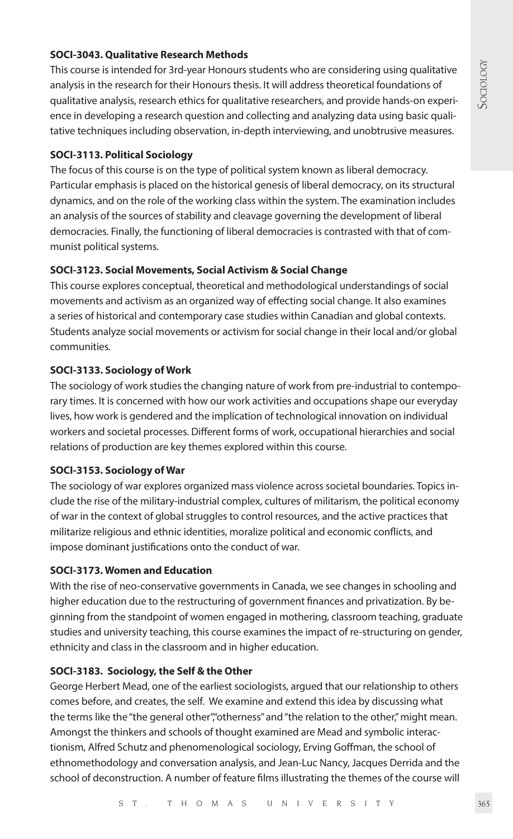# **SOCI-3043. Qualitative Research Methods**

This course is intended for 3rd-year Honours students who are considering using qualitative analysis in the research for their Honours thesis. It will address theoretical foundations of qualitative analysis, research ethics for qualitative researchers, and provide hands-on experience in developing a research question and collecting and analyzing data using basic qualitative techniques including observation, in-depth interviewing, and unobtrusive measures.

# **SOCI-3113. Political Sociology**

The focus of this course is on the type of political system known as liberal democracy. Particular emphasis is placed on the historical genesis of liberal democracy, on its structural dynamics, and on the role of the working class within the system. The examination includes an analysis of the sources of stability and cleavage governing the development of liberal democracies. Finally, the functioning of liberal democracies is contrasted with that of communist political systems.

# **SOCI-3123. Social Movements, Social Activism & Social Change**

This course explores conceptual, theoretical and methodological understandings of social movements and activism as an organized way of effecting social change. It also examines a series of historical and contemporary case studies within Canadian and global contexts. Students analyze social movements or activism for social change in their local and/or global communities.

# **SOCI-3133. Sociology of Work**

The sociology of work studies the changing nature of work from pre-industrial to contemporary times. It is concerned with how our work activities and occupations shape our everyday lives, how work is gendered and the implication of technological innovation on individual workers and societal processes. Different forms of work, occupational hierarchies and social relations of production are key themes explored within this course.

# **SOCI-3153. Sociology of War**

The sociology of war explores organized mass violence across societal boundaries. Topics include the rise of the military-industrial complex, cultures of militarism, the political economy of war in the context of global struggles to control resources, and the active practices that militarize religious and ethnic identities, moralize political and economic conflicts, and impose dominant justifications onto the conduct of war.

# **SOCI-3173. Women and Education**

With the rise of neo-conservative governments in Canada, we see changes in schooling and higher education due to the restructuring of government finances and privatization. By beginning from the standpoint of women engaged in mothering, classroom teaching, graduate studies and university teaching, this course examines the impact of re-structuring on gender, ethnicity and class in the classroom and in higher education.

# **SOCI-3183. Sociology, the Self & the Other**

George Herbert Mead, one of the earliest sociologists, argued that our relationship to others comes before, and creates, the self. We examine and extend this idea by discussing what the terms like the "the general other","otherness" and "the relation to the other," might mean. Amongst the thinkers and schools of thought examined are Mead and symbolic interactionism, Alfred Schutz and phenomenological sociology, Erving Goffman, the school of ethnomethodology and conversation analysis, and Jean-Luc Nancy, Jacques Derrida and the school of deconstruction. A number of feature films illustrating the themes of the course will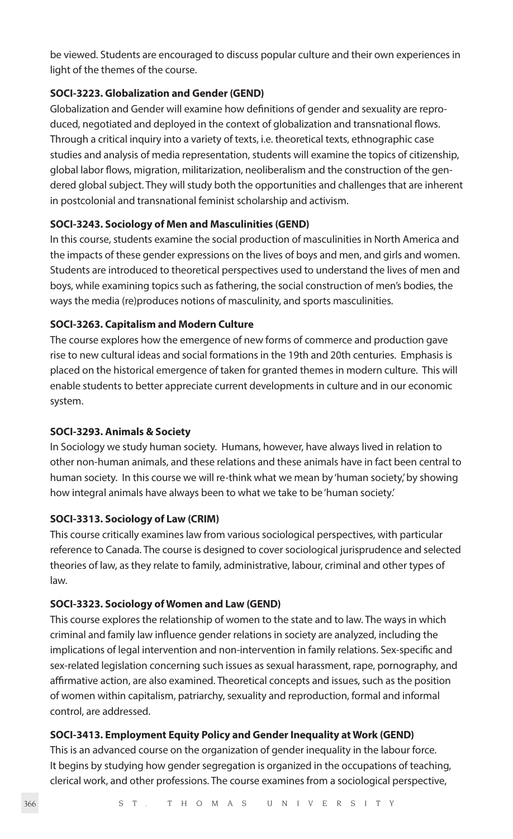be viewed. Students are encouraged to discuss popular culture and their own experiences in light of the themes of the course.

# **SOCI-3223. Globalization and Gender (GEND)**

Globalization and Gender will examine how definitions of gender and sexuality are reproduced, negotiated and deployed in the context of globalization and transnational flows. Through a critical inquiry into a variety of texts, i.e. theoretical texts, ethnographic case studies and analysis of media representation, students will examine the topics of citizenship, global labor flows, migration, militarization, neoliberalism and the construction of the gendered global subject. They will study both the opportunities and challenges that are inherent in postcolonial and transnational feminist scholarship and activism.

# **SOCI-3243. Sociology of Men and Masculinities (GEND)**

In this course, students examine the social production of masculinities in North America and the impacts of these gender expressions on the lives of boys and men, and girls and women. Students are introduced to theoretical perspectives used to understand the lives of men and boys, while examining topics such as fathering, the social construction of men's bodies, the ways the media (re)produces notions of masculinity, and sports masculinities.

# **SOCI-3263. Capitalism and Modern Culture**

The course explores how the emergence of new forms of commerce and production gave rise to new cultural ideas and social formations in the 19th and 20th centuries. Emphasis is placed on the historical emergence of taken for granted themes in modern culture. This will enable students to better appreciate current developments in culture and in our economic system.

# **SOCI-3293. Animals & Society**

In Sociology we study human society. Humans, however, have always lived in relation to other non-human animals, and these relations and these animals have in fact been central to human society. In this course we will re-think what we mean by 'human society,' by showing how integral animals have always been to what we take to be 'human society.'

# **SOCI-3313. Sociology of Law (CRIM)**

This course critically examines law from various sociological perspectives, with particular reference to Canada. The course is designed to cover sociological jurisprudence and selected theories of law, as they relate to family, administrative, labour, criminal and other types of law.

# **SOCI-3323. Sociology of Women and Law (GEND)**

This course explores the relationship of women to the state and to law. The ways in which criminal and family law influence gender relations in society are analyzed, including the implications of legal intervention and non-intervention in family relations. Sex-specific and sex-related legislation concerning such issues as sexual harassment, rape, pornography, and affirmative action, are also examined. Theoretical concepts and issues, such as the position of women within capitalism, patriarchy, sexuality and reproduction, formal and informal control, are addressed.

# **SOCI-3413. Employment Equity Policy and Gender Inequality at Work (GEND)**

This is an advanced course on the organization of gender inequality in the labour force. It begins by studying how gender segregation is organized in the occupations of teaching, clerical work, and other professions. The course examines from a sociological perspective,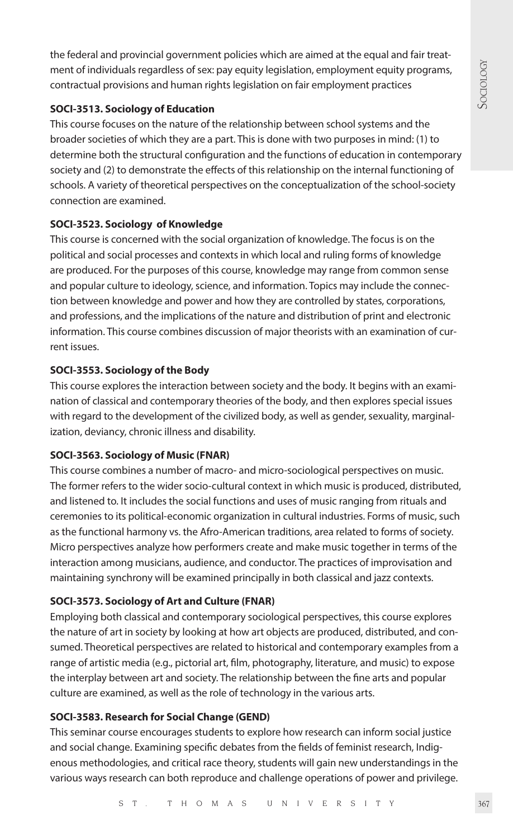the federal and provincial government policies which are aimed at the equal and fair treatment of individuals regardless of sex: pay equity legislation, employment equity programs, contractual provisions and human rights legislation on fair employment practices

# **SOCI-3513. Sociology of Education**

This course focuses on the nature of the relationship between school systems and the broader societies of which they are a part. This is done with two purposes in mind: (1) to determine both the structural configuration and the functions of education in contemporary society and (2) to demonstrate the effects of this relationship on the internal functioning of schools. A variety of theoretical perspectives on the conceptualization of the school-society connection are examined.

# **SOCI-3523. Sociology of Knowledge**

This course is concerned with the social organization of knowledge. The focus is on the political and social processes and contexts in which local and ruling forms of knowledge are produced. For the purposes of this course, knowledge may range from common sense and popular culture to ideology, science, and information. Topics may include the connection between knowledge and power and how they are controlled by states, corporations, and professions, and the implications of the nature and distribution of print and electronic information. This course combines discussion of major theorists with an examination of current issues.

# **SOCI-3553. Sociology of the Body**

This course explores the interaction between society and the body. It begins with an examination of classical and contemporary theories of the body, and then explores special issues with regard to the development of the civilized body, as well as gender, sexuality, marginalization, deviancy, chronic illness and disability.

# **SOCI-3563. Sociology of Music (FNAR)**

This course combines a number of macro- and micro-sociological perspectives on music. The former refers to the wider socio-cultural context in which music is produced, distributed, and listened to. It includes the social functions and uses of music ranging from rituals and ceremonies to its political-economic organization in cultural industries. Forms of music, such as the functional harmony vs. the Afro-American traditions, area related to forms of society. Micro perspectives analyze how performers create and make music together in terms of the interaction among musicians, audience, and conductor. The practices of improvisation and maintaining synchrony will be examined principally in both classical and jazz contexts.

# **SOCI-3573. Sociology of Art and Culture (FNAR)**

Employing both classical and contemporary sociological perspectives, this course explores the nature of art in society by looking at how art objects are produced, distributed, and consumed. Theoretical perspectives are related to historical and contemporary examples from a range of artistic media (e.g., pictorial art, film, photography, literature, and music) to expose the interplay between art and society. The relationship between the fine arts and popular culture are examined, as well as the role of technology in the various arts.

# **SOCI-3583. Research for Social Change (GEND)**

This seminar course encourages students to explore how research can inform social justice and social change. Examining specific debates from the fields of feminist research, Indigenous methodologies, and critical race theory, students will gain new understandings in the various ways research can both reproduce and challenge operations of power and privilege.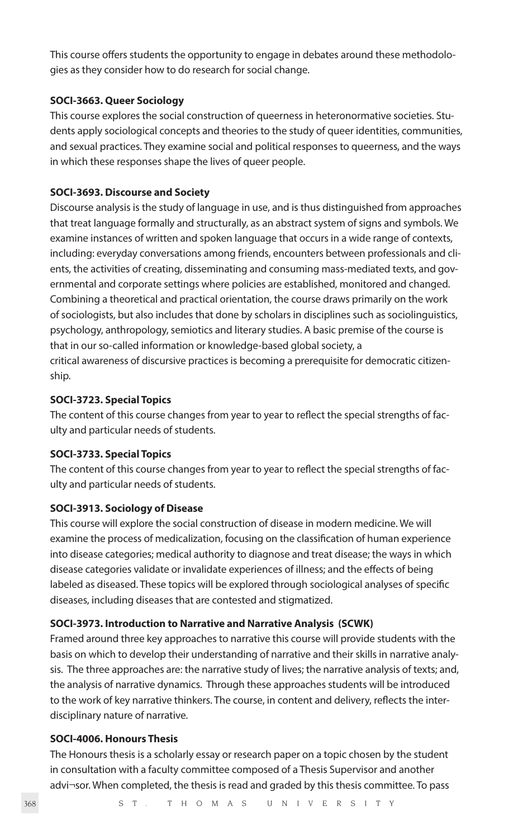This course offers students the opportunity to engage in debates around these methodologies as they consider how to do research for social change.

#### **SOCI-3663. Queer Sociology**

This course explores the social construction of queerness in heteronormative societies. Students apply sociological concepts and theories to the study of queer identities, communities, and sexual practices. They examine social and political responses to queerness, and the ways in which these responses shape the lives of queer people.

#### **SOCI-3693. Discourse and Society**

Discourse analysis is the study of language in use, and is thus distinguished from approaches that treat language formally and structurally, as an abstract system of signs and symbols. We examine instances of written and spoken language that occurs in a wide range of contexts, including: everyday conversations among friends, encounters between professionals and clients, the activities of creating, disseminating and consuming mass-mediated texts, and governmental and corporate settings where policies are established, monitored and changed. Combining a theoretical and practical orientation, the course draws primarily on the work of sociologists, but also includes that done by scholars in disciplines such as sociolinguistics, psychology, anthropology, semiotics and literary studies. A basic premise of the course is that in our so-called information or knowledge-based global society, a critical awareness of discursive practices is becoming a prerequisite for democratic citizenship.

#### **SOCI-3723. Special Topics**

The content of this course changes from year to year to reflect the special strengths of faculty and particular needs of students.

#### **SOCI-3733. Special Topics**

The content of this course changes from year to year to reflect the special strengths of faculty and particular needs of students.

#### **SOCI-3913. Sociology of Disease**

This course will explore the social construction of disease in modern medicine. We will examine the process of medicalization, focusing on the classification of human experience into disease categories; medical authority to diagnose and treat disease; the ways in which disease categories validate or invalidate experiences of illness; and the effects of being labeled as diseased. These topics will be explored through sociological analyses of specific diseases, including diseases that are contested and stigmatized.

# **SOCI-3973. Introduction to Narrative and Narrative Analysis (SCWK)**

Framed around three key approaches to narrative this course will provide students with the basis on which to develop their understanding of narrative and their skills in narrative analysis. The three approaches are: the narrative study of lives; the narrative analysis of texts; and, the analysis of narrative dynamics. Through these approaches students will be introduced to the work of key narrative thinkers. The course, in content and delivery, reflects the interdisciplinary nature of narrative.

# **SOCI-4006. Honours Thesis**

The Honours thesis is a scholarly essay or research paper on a topic chosen by the student in consultation with a faculty committee composed of a Thesis Supervisor and another advi¬sor. When completed, the thesis is read and graded by this thesis committee. To pass